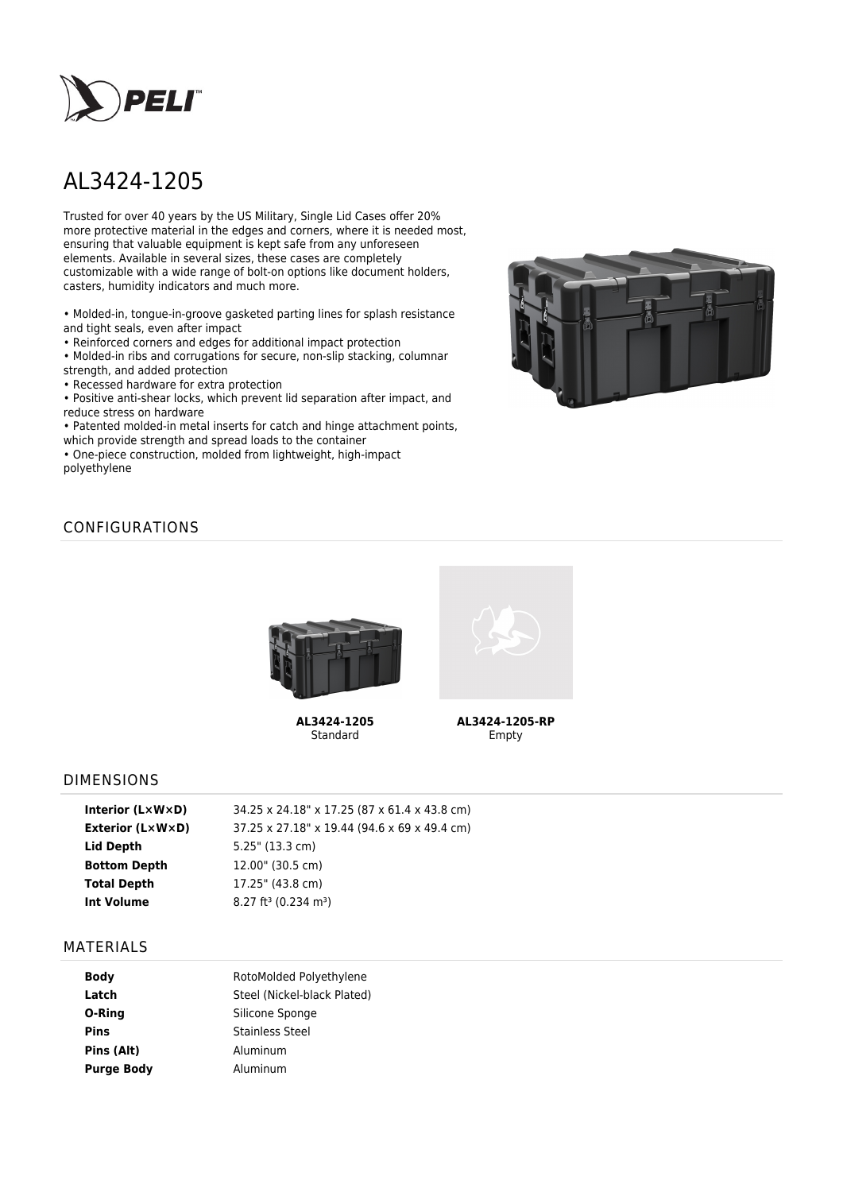

# AL3424-1205

Trusted for over 40 years by the US Military, Single Lid Cases offer 20% more protective material in the edges and corners, where it is needed most, ensuring that valuable equipment is kept safe from any unforeseen elements. Available in several sizes, these cases are completely customizable with a wide range of bolt-on options like document holders, casters, humidity indicators and much more.

• Molded-in, tongue-in-groove gasketed parting lines for splash resistance and tight seals, even after impact

• Reinforced corners and edges for additional impact protection

• Molded-in ribs and corrugations for secure, non-slip stacking, columnar strength, and added protection

• Recessed hardware for extra protection

• Positive anti-shear locks, which prevent lid separation after impact, and reduce stress on hardware

• Patented molded-in metal inserts for catch and hinge attachment points, which provide strength and spread loads to the container

• One-piece construction, molded from lightweight, high-impact polyethylene



# CONFIGURATIONS



**AL3424-1205** Standard



**AL3424-1205-RP** Empty

### DIMENSIONS

| 34.25 x 24.18" x 17.25 (87 x 61.4 x 43.8 cm)   |
|------------------------------------------------|
| 37.25 x 27.18" x 19.44 (94.6 x 69 x 49.4 cm)   |
| $5.25$ " (13.3 cm)                             |
| 12.00" (30.5 cm)                               |
| 17.25" (43.8 cm)                               |
| $8.27$ ft <sup>3</sup> (0.234 m <sup>3</sup> ) |
|                                                |

### MATERIALS

| <b>Body</b>       | RotoMolded Polyethylene     |  |  |
|-------------------|-----------------------------|--|--|
| Latch             | Steel (Nickel-black Plated) |  |  |
| O-Ring            | Silicone Sponge             |  |  |
| <b>Pins</b>       | <b>Stainless Steel</b>      |  |  |
| Pins (Alt)        | Aluminum                    |  |  |
| <b>Purge Body</b> | Aluminum                    |  |  |